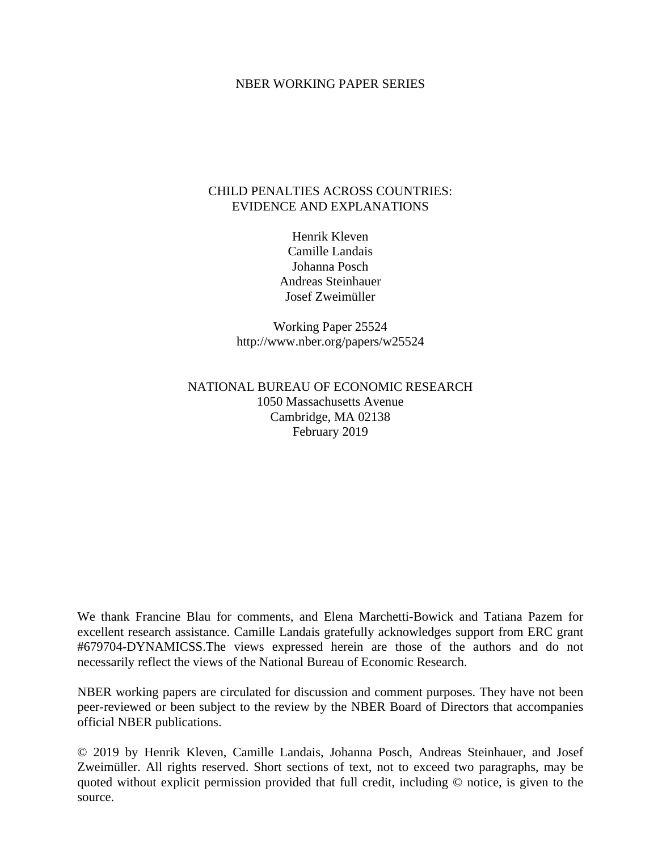#### NBER WORKING PAPER SERIES

## CHILD PENALTIES ACROSS COUNTRIES: EVIDENCE AND EXPLANATIONS

Henrik Kleven Camille Landais Johanna Posch Andreas Steinhauer Josef Zweimüller

Working Paper 25524 http://www.nber.org/papers/w25524

## NATIONAL BUREAU OF ECONOMIC RESEARCH 1050 Massachusetts Avenue Cambridge, MA 02138 February 2019

We thank Francine Blau for comments, and Elena Marchetti-Bowick and Tatiana Pazem for excellent research assistance. Camille Landais gratefully acknowledges support from ERC grant #679704-DYNAMICSS.The views expressed herein are those of the authors and do not necessarily reflect the views of the National Bureau of Economic Research.

NBER working papers are circulated for discussion and comment purposes. They have not been peer-reviewed or been subject to the review by the NBER Board of Directors that accompanies official NBER publications.

© 2019 by Henrik Kleven, Camille Landais, Johanna Posch, Andreas Steinhauer, and Josef Zweimüller. All rights reserved. Short sections of text, not to exceed two paragraphs, may be quoted without explicit permission provided that full credit, including © notice, is given to the source.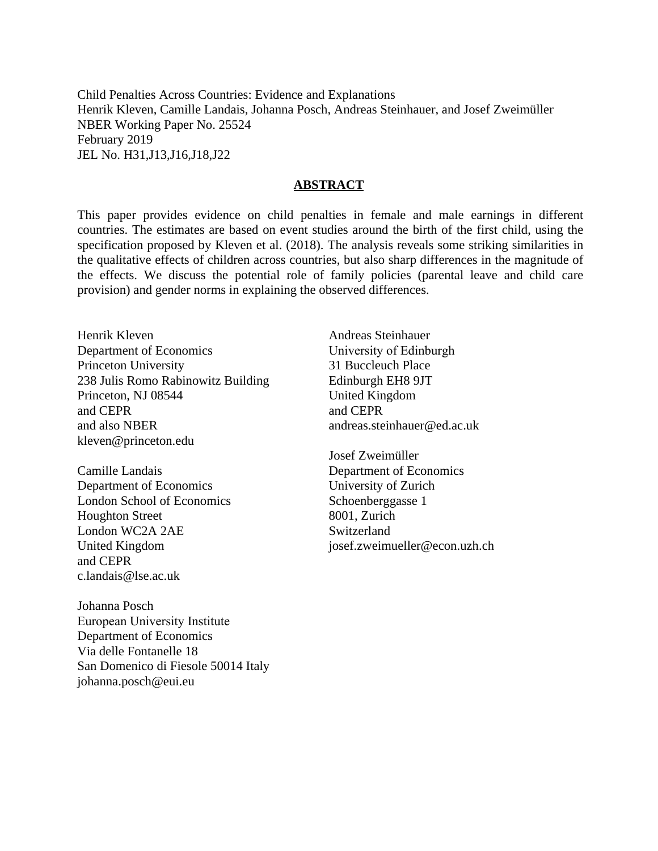Child Penalties Across Countries: Evidence and Explanations Henrik Kleven, Camille Landais, Johanna Posch, Andreas Steinhauer, and Josef Zweimüller NBER Working Paper No. 25524 February 2019 JEL No. H31,J13,J16,J18,J22

#### **ABSTRACT**

This paper provides evidence on child penalties in female and male earnings in different countries. The estimates are based on event studies around the birth of the first child, using the specification proposed by Kleven et al. (2018). The analysis reveals some striking similarities in the qualitative effects of children across countries, but also sharp differences in the magnitude of the effects. We discuss the potential role of family policies (parental leave and child care provision) and gender norms in explaining the observed differences.

Henrik Kleven Department of Economics Princeton University 238 Julis Romo Rabinowitz Building Princeton, NJ 08544 and CEPR and also NBER kleven@princeton.edu

Camille Landais Department of Economics London School of Economics Houghton Street London WC2A 2AE United Kingdom and CEPR c.landais@lse.ac.uk

Johanna Posch European University Institute Department of Economics Via delle Fontanelle 18 San Domenico di Fiesole 50014 Italy johanna.posch@eui.eu

Andreas Steinhauer University of Edinburgh 31 Buccleuch Place Edinburgh EH8 9JT United Kingdom and CEPR andreas.steinhauer@ed.ac.uk

Josef Zweimüller Department of Economics University of Zurich Schoenberggasse 1 8001, Zurich Switzerland josef.zweimueller@econ.uzh.ch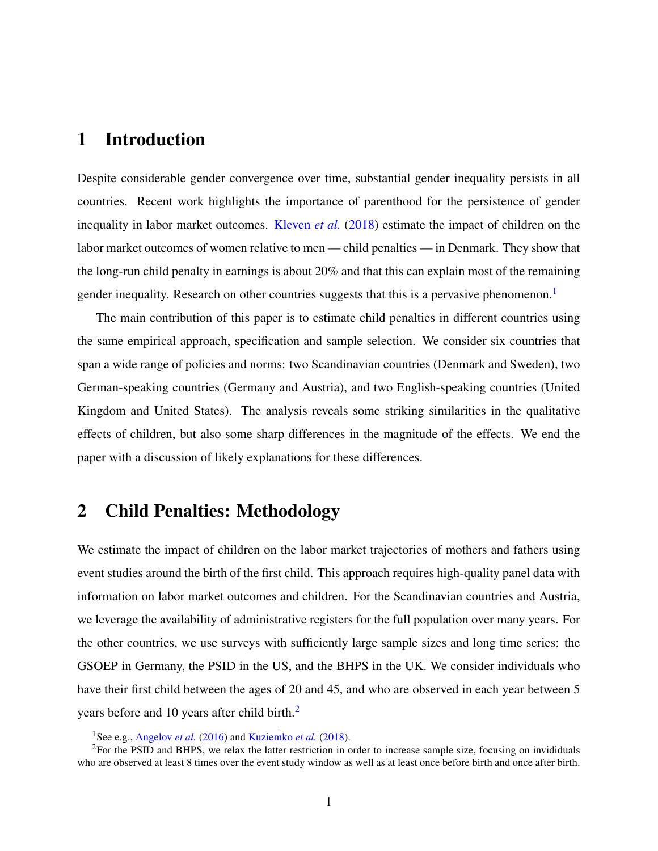# 1 Introduction

Despite considerable gender convergence over time, substantial gender inequality persists in all countries. Recent work highlights the importance of parenthood for the persistence of gender inequality in labor market outcomes. [Kleven](#page-8-0) *et al.* [\(2018\)](#page-8-0) estimate the impact of children on the labor market outcomes of women relative to men — child penalties — in Denmark. They show that the long-run child penalty in earnings is about 20% and that this can explain most of the remaining gender inequality. Research on other countries suggests that this is a pervasive phenomenon.<sup>[1](#page-2-0)</sup>

The main contribution of this paper is to estimate child penalties in different countries using the same empirical approach, specification and sample selection. We consider six countries that span a wide range of policies and norms: two Scandinavian countries (Denmark and Sweden), two German-speaking countries (Germany and Austria), and two English-speaking countries (United Kingdom and United States). The analysis reveals some striking similarities in the qualitative effects of children, but also some sharp differences in the magnitude of the effects. We end the paper with a discussion of likely explanations for these differences.

# 2 Child Penalties: Methodology

We estimate the impact of children on the labor market trajectories of mothers and fathers using event studies around the birth of the first child. This approach requires high-quality panel data with information on labor market outcomes and children. For the Scandinavian countries and Austria, we leverage the availability of administrative registers for the full population over many years. For the other countries, we use surveys with sufficiently large sample sizes and long time series: the GSOEP in Germany, the PSID in the US, and the BHPS in the UK. We consider individuals who have their first child between the ages of 20 and 45, and who are observed in each year between 5 years before and 10 years after child birth.<sup>[2](#page-2-1)</sup>

<span id="page-2-1"></span><span id="page-2-0"></span><sup>1</sup>See e.g., [Angelov](#page-8-1) *et al.* [\(2016\)](#page-8-1) and [Kuziemko](#page-8-2) *et al.* [\(2018\)](#page-8-2).

<sup>&</sup>lt;sup>2</sup>For the PSID and BHPS, we relax the latter restriction in order to increase sample size, focusing on invididuals who are observed at least 8 times over the event study window as well as at least once before birth and once after birth.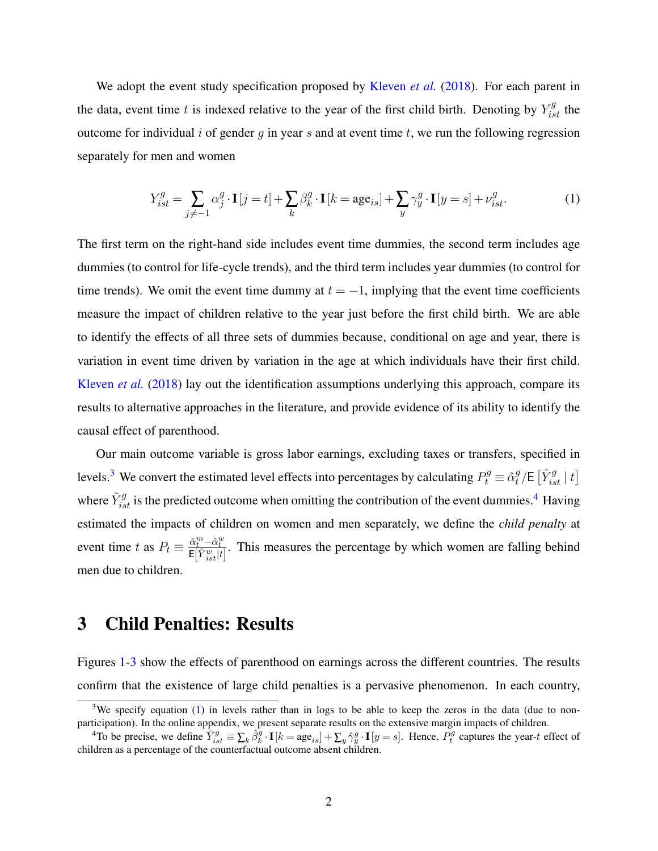We adopt the event study specification proposed by [Kleven](#page-8-0) *et al.* [\(2018\)](#page-8-0). For each parent in the data, event time t is indexed relative to the year of the first child birth. Denoting by  $Y_{ist}^g$  the outcome for individual  $i$  of gender  $g$  in year  $s$  and at event time  $t$ , we run the following regression separately for men and women

<span id="page-3-2"></span>
$$
Y_{ist}^{g} = \sum_{j \neq -1} \alpha_j^g \cdot \mathbf{I}[j = t] + \sum_{k} \beta_k^g \cdot \mathbf{I}[k = \text{age}_{is}] + \sum_{y} \gamma_y^g \cdot \mathbf{I}[y = s] + \nu_{ist}^g. \tag{1}
$$

The first term on the right-hand side includes event time dummies, the second term includes age dummies (to control for life-cycle trends), and the third term includes year dummies (to control for time trends). We omit the event time dummy at  $t = -1$ , implying that the event time coefficients measure the impact of children relative to the year just before the first child birth. We are able to identify the effects of all three sets of dummies because, conditional on age and year, there is variation in event time driven by variation in the age at which individuals have their first child. [Kleven](#page-8-0) *et al.* [\(2018\)](#page-8-0) lay out the identification assumptions underlying this approach, compare its results to alternative approaches in the literature, and provide evidence of its ability to identify the causal effect of parenthood.

Our main outcome variable is gross labor earnings, excluding taxes or transfers, specified in levels.<sup>[3](#page-3-0)</sup> We convert the estimated level effects into percentages by calculating  $P_t^g \equiv \hat{\alpha}_t^g$  $\frac{g}{t}/\mathsf{E}\left[\tilde{Y}_{ist}^{g} \mid t\right]$ where  $\tilde{Y}_{ist}^g$  is the predicted outcome when omitting the contribution of the event dummies.<sup>[4](#page-3-1)</sup> Having estimated the impacts of children on women and men separately, we define the *child penalty* at event time t as  $P_t \equiv \frac{\hat{\alpha}_t^m - \hat{\alpha}_t^w}{E[\tilde{Y}_{ist}^w|t]}$ . This measures the percentage by which women are falling behind men due to children.

# 3 Child Penalties: Results

Figures [1](#page-5-0)[-3](#page-6-0) show the effects of parenthood on earnings across the different countries. The results confirm that the existence of large child penalties is a pervasive phenomenon. In each country,

<span id="page-3-0"></span> $3$ We specify equation [\(1\)](#page-3-2) in levels rather than in logs to be able to keep the zeros in the data (due to nonparticipation). In the online appendix, we present separate results on the extensive margin impacts of children.

<span id="page-3-1"></span><sup>&</sup>lt;sup>4</sup>To be precise, we define  $\tilde{Y}_{ist}^g \equiv \sum_k \hat{\beta}_k^g \cdot \mathbf{I}[k = \text{age}_{is}] + \sum_y \hat{\gamma}_y^g \cdot \mathbf{I}[y = s]$ . Hence,  $P_t^g$  captures the year-t effect of children as a percentage of the counterfactual outcome absent children.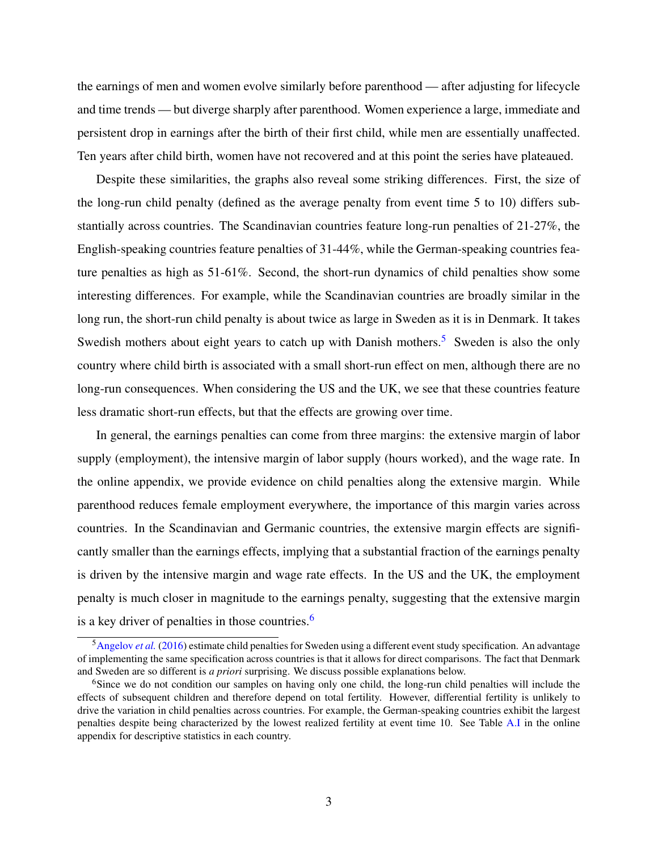the earnings of men and women evolve similarly before parenthood — after adjusting for lifecycle and time trends — but diverge sharply after parenthood. Women experience a large, immediate and persistent drop in earnings after the birth of their first child, while men are essentially unaffected. Ten years after child birth, women have not recovered and at this point the series have plateaued.

Despite these similarities, the graphs also reveal some striking differences. First, the size of the long-run child penalty (defined as the average penalty from event time 5 to 10) differs substantially across countries. The Scandinavian countries feature long-run penalties of 21-27%, the English-speaking countries feature penalties of 31-44%, while the German-speaking countries feature penalties as high as 51-61%. Second, the short-run dynamics of child penalties show some interesting differences. For example, while the Scandinavian countries are broadly similar in the long run, the short-run child penalty is about twice as large in Sweden as it is in Denmark. It takes Swedish mothers about eight years to catch up with Danish mothers.<sup>[5](#page-4-0)</sup> Sweden is also the only country where child birth is associated with a small short-run effect on men, although there are no long-run consequences. When considering the US and the UK, we see that these countries feature less dramatic short-run effects, but that the effects are growing over time.

In general, the earnings penalties can come from three margins: the extensive margin of labor supply (employment), the intensive margin of labor supply (hours worked), and the wage rate. In the online appendix, we provide evidence on child penalties along the extensive margin. While parenthood reduces female employment everywhere, the importance of this margin varies across countries. In the Scandinavian and Germanic countries, the extensive margin effects are significantly smaller than the earnings effects, implying that a substantial fraction of the earnings penalty is driven by the intensive margin and wage rate effects. In the US and the UK, the employment penalty is much closer in magnitude to the earnings penalty, suggesting that the extensive margin is a key driver of penalties in those countries.<sup>[6](#page-4-1)</sup>

<span id="page-4-0"></span><sup>5</sup>[Angelov](#page-8-1) *et al.* [\(2016\)](#page-8-1) estimate child penalties for Sweden using a different event study specification. An advantage of implementing the same specification across countries is that it allows for direct comparisons. The fact that Denmark and Sweden are so different is *a priori* surprising. We discuss possible explanations below.

<span id="page-4-1"></span><sup>&</sup>lt;sup>6</sup>Since we do not condition our samples on having only one child, the long-run child penalties will include the effects of subsequent children and therefore depend on total fertility. However, differential fertility is unlikely to drive the variation in child penalties across countries. For example, the German-speaking countries exhibit the largest penalties despite being characterized by the lowest realized fertility at event time 10. See Table [A.I](#page-13-0) in the online appendix for descriptive statistics in each country.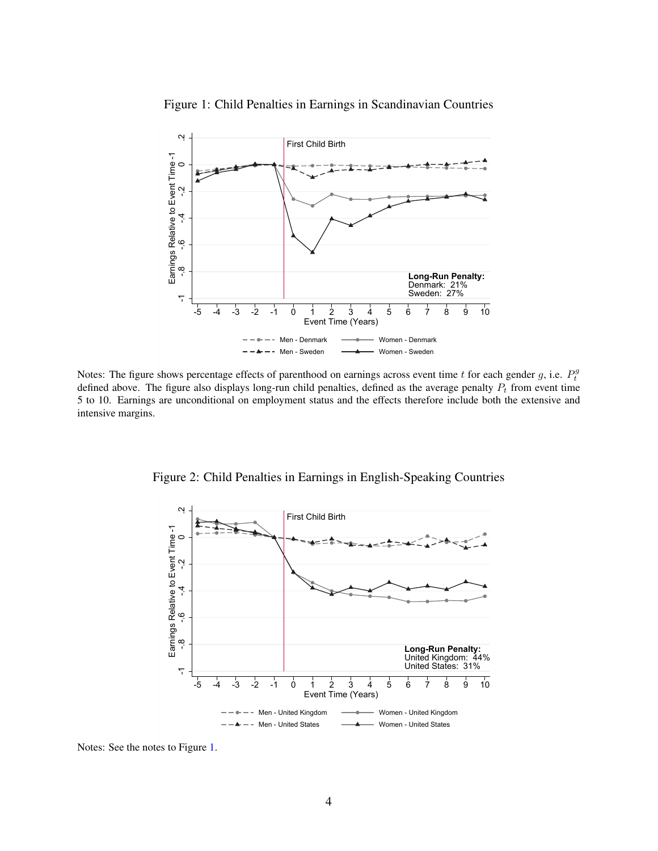<span id="page-5-0"></span>

Figure 1: Child Penalties in Earnings in Scandinavian Countries

Notes: The figure shows percentage effects of parenthood on earnings across event time t for each gender g, i.e.  $P_t^g$ defined above. The figure also displays long-run child penalties, defined as the average penalty  $P_t$  from event time 5 to 10. Earnings are unconditional on employment status and the effects therefore include both the extensive and intensive margins.



Figure 2: Child Penalties in Earnings in English-Speaking Countries

Notes: See the notes to Figure [1.](#page-5-0)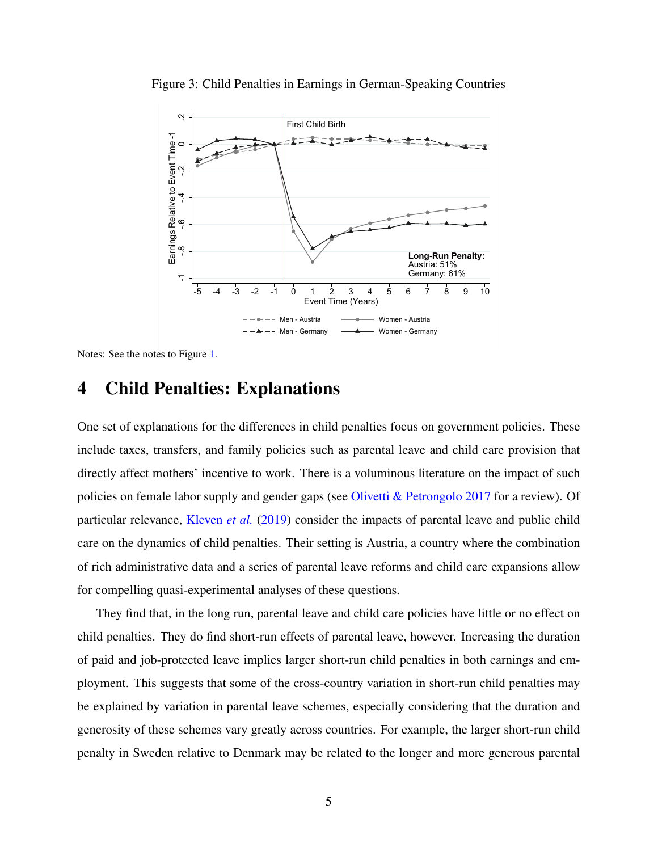

<span id="page-6-0"></span>Figure 3: Child Penalties in Earnings in German-Speaking Countries

Notes: See the notes to Figure [1.](#page-5-0)

# 4 Child Penalties: Explanations

One set of explanations for the differences in child penalties focus on government policies. These include taxes, transfers, and family policies such as parental leave and child care provision that directly affect mothers' incentive to work. There is a voluminous literature on the impact of such policies on female labor supply and gender gaps (see [Olivetti & Petrongolo 2017](#page-8-3) for a review). Of particular relevance, [Kleven](#page-8-4) *et al.* [\(2019\)](#page-8-4) consider the impacts of parental leave and public child care on the dynamics of child penalties. Their setting is Austria, a country where the combination of rich administrative data and a series of parental leave reforms and child care expansions allow for compelling quasi-experimental analyses of these questions.

They find that, in the long run, parental leave and child care policies have little or no effect on child penalties. They do find short-run effects of parental leave, however. Increasing the duration of paid and job-protected leave implies larger short-run child penalties in both earnings and employment. This suggests that some of the cross-country variation in short-run child penalties may be explained by variation in parental leave schemes, especially considering that the duration and generosity of these schemes vary greatly across countries. For example, the larger short-run child penalty in Sweden relative to Denmark may be related to the longer and more generous parental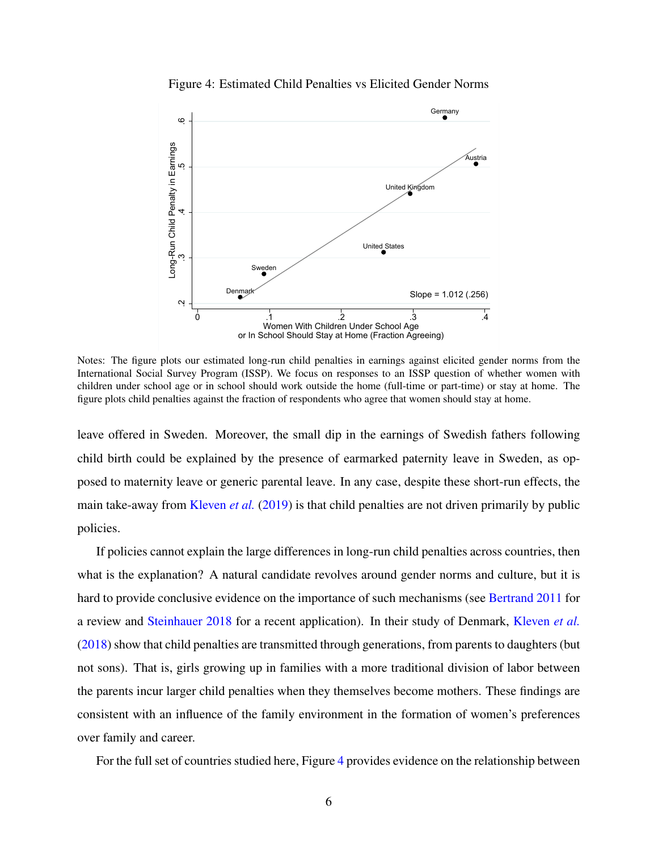<span id="page-7-0"></span>

Figure 4: Estimated Child Penalties vs Elicited Gender Norms

Notes: The figure plots our estimated long-run child penalties in earnings against elicited gender norms from the International Social Survey Program (ISSP). We focus on responses to an ISSP question of whether women with children under school age or in school should work outside the home (full-time or part-time) or stay at home. The figure plots child penalties against the fraction of respondents who agree that women should stay at home.

leave offered in Sweden. Moreover, the small dip in the earnings of Swedish fathers following child birth could be explained by the presence of earmarked paternity leave in Sweden, as opposed to maternity leave or generic parental leave. In any case, despite these short-run effects, the main take-away from [Kleven](#page-8-4) *et al.* [\(2019\)](#page-8-4) is that child penalties are not driven primarily by public policies.

If policies cannot explain the large differences in long-run child penalties across countries, then what is the explanation? A natural candidate revolves around gender norms and culture, but it is hard to provide conclusive evidence on the importance of such mechanisms (see [Bertrand 2011](#page-8-5) for a review and [Steinhauer 2018](#page-9-0) for a recent application). In their study of Denmark, [Kleven](#page-8-0) *et al.* [\(2018\)](#page-8-0) show that child penalties are transmitted through generations, from parents to daughters (but not sons). That is, girls growing up in families with a more traditional division of labor between the parents incur larger child penalties when they themselves become mothers. These findings are consistent with an influence of the family environment in the formation of women's preferences over family and career.

For the full set of countries studied here, Figure [4](#page-7-0) provides evidence on the relationship between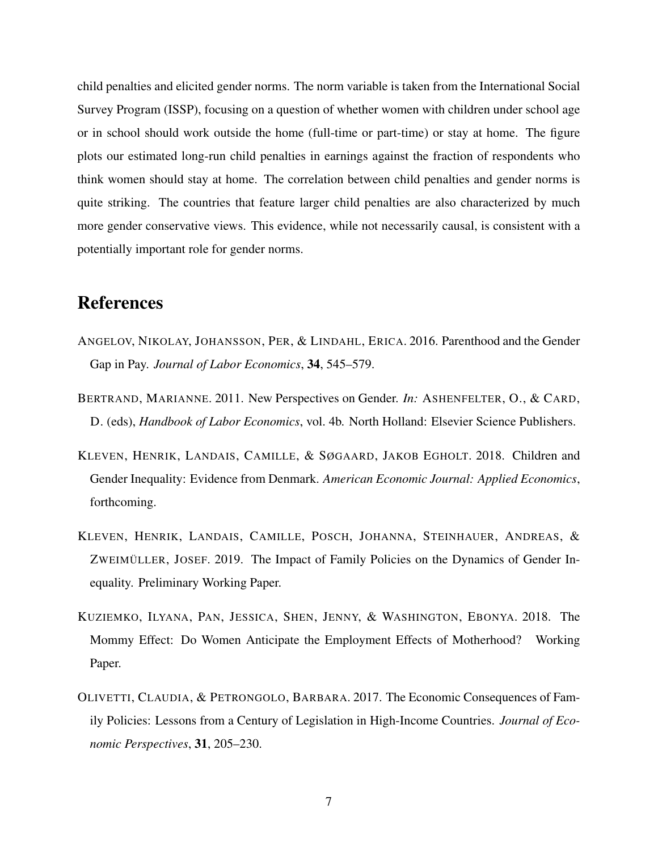child penalties and elicited gender norms. The norm variable is taken from the International Social Survey Program (ISSP), focusing on a question of whether women with children under school age or in school should work outside the home (full-time or part-time) or stay at home. The figure plots our estimated long-run child penalties in earnings against the fraction of respondents who think women should stay at home. The correlation between child penalties and gender norms is quite striking. The countries that feature larger child penalties are also characterized by much more gender conservative views. This evidence, while not necessarily causal, is consistent with a potentially important role for gender norms.

# References

- <span id="page-8-1"></span>ANGELOV, NIKOLAY, JOHANSSON, PER, & LINDAHL, ERICA. 2016. Parenthood and the Gender Gap in Pay. *Journal of Labor Economics*, 34, 545–579.
- <span id="page-8-5"></span>BERTRAND, MARIANNE. 2011. New Perspectives on Gender. *In:* ASHENFELTER, O., & CARD, D. (eds), *Handbook of Labor Economics*, vol. 4b. North Holland: Elsevier Science Publishers.
- <span id="page-8-0"></span>KLEVEN, HENRIK, LANDAIS, CAMILLE, & SØGAARD, JAKOB EGHOLT. 2018. Children and Gender Inequality: Evidence from Denmark. *American Economic Journal: Applied Economics*, forthcoming.
- <span id="page-8-4"></span>KLEVEN, HENRIK, LANDAIS, CAMILLE, POSCH, JOHANNA, STEINHAUER, ANDREAS, & ZWEIMÜLLER, JOSEF. 2019. The Impact of Family Policies on the Dynamics of Gender Inequality. Preliminary Working Paper.
- <span id="page-8-2"></span>KUZIEMKO, ILYANA, PAN, JESSICA, SHEN, JENNY, & WASHINGTON, EBONYA. 2018. The Mommy Effect: Do Women Anticipate the Employment Effects of Motherhood? Working Paper.
- <span id="page-8-3"></span>OLIVETTI, CLAUDIA, & PETRONGOLO, BARBARA. 2017. The Economic Consequences of Family Policies: Lessons from a Century of Legislation in High-Income Countries. *Journal of Economic Perspectives*, 31, 205–230.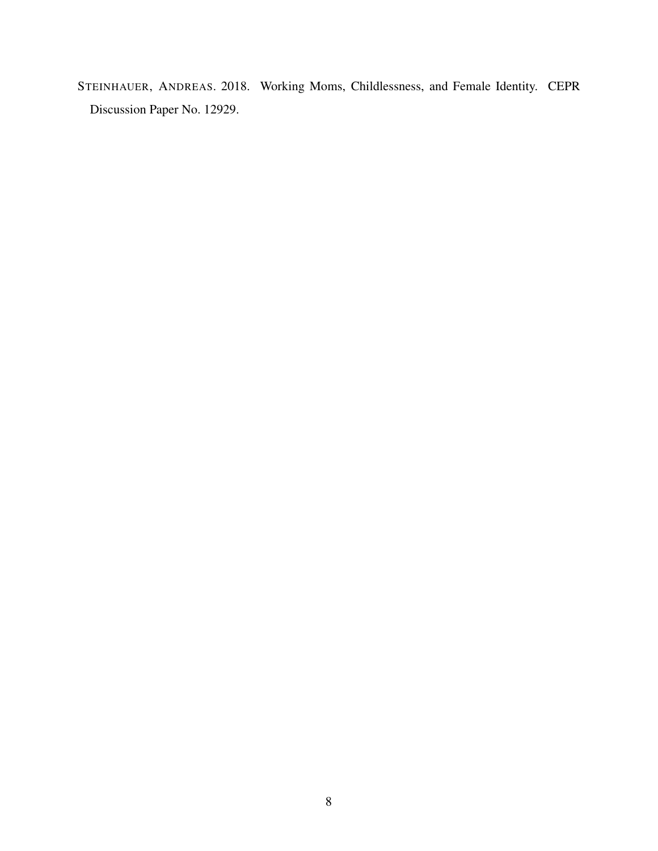<span id="page-9-0"></span>STEINHAUER, ANDREAS. 2018. Working Moms, Childlessness, and Female Identity. CEPR Discussion Paper No. 12929.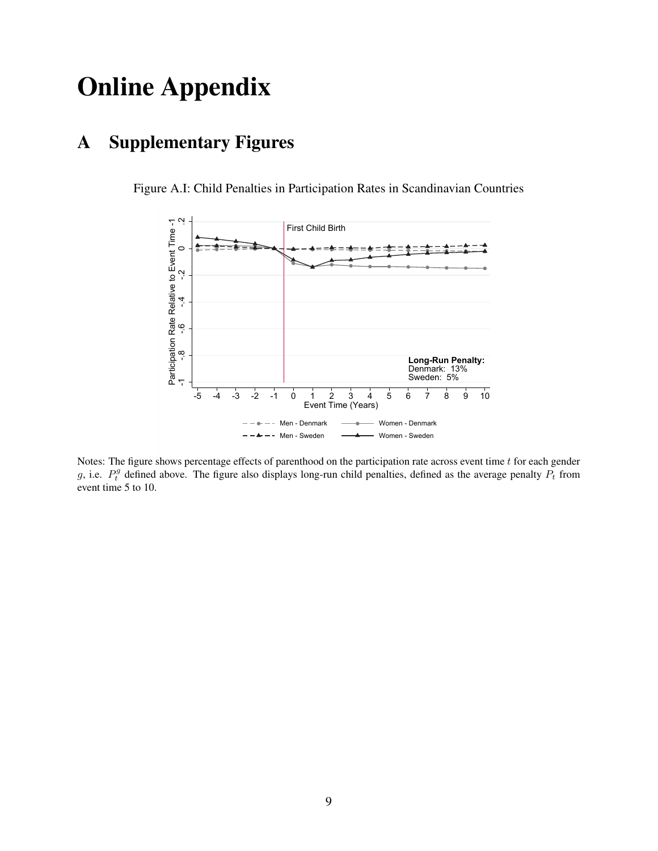# Online Appendix

# A Supplementary Figures



Figure A.I: Child Penalties in Participation Rates in Scandinavian Countries

Notes: The figure shows percentage effects of parenthood on the participation rate across event time  $t$  for each gender g, i.e.  $P_t^g$  defined above. The figure also displays long-run child penalties, defined as the average penalty  $P_t$  from event time 5 to 10.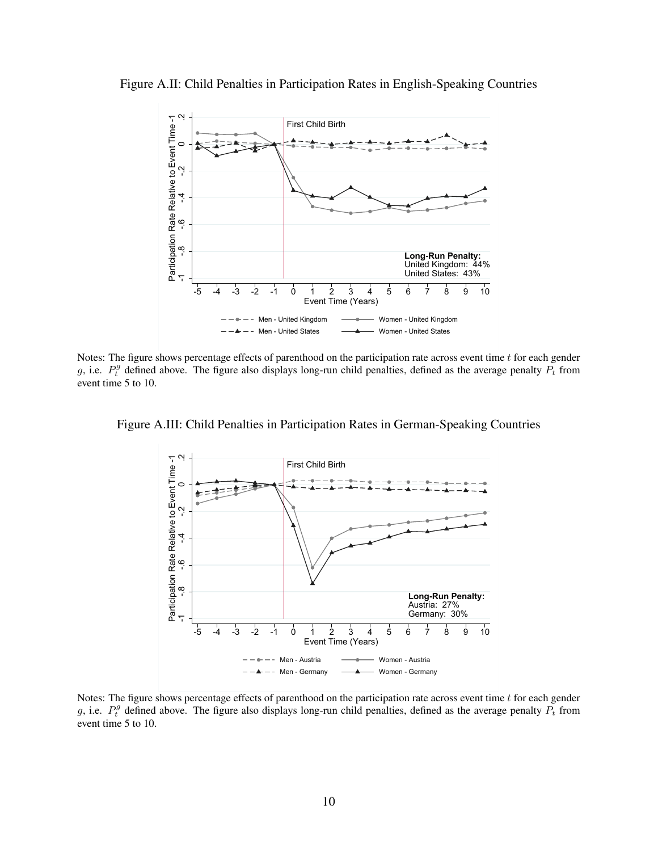Figure A.II: Child Penalties in Participation Rates in English-Speaking Countries



Notes: The figure shows percentage effects of parenthood on the participation rate across event time  $t$  for each gender g, i.e.  $P_t^g$  defined above. The figure also displays long-run child penalties, defined as the average penalty  $P_t$  from event time 5 to 10.





Notes: The figure shows percentage effects of parenthood on the participation rate across event time  $t$  for each gender g, i.e.  $P_t^g$  defined above. The figure also displays long-run child penalties, defined as the average penalty  $P_t$  from event time 5 to 10.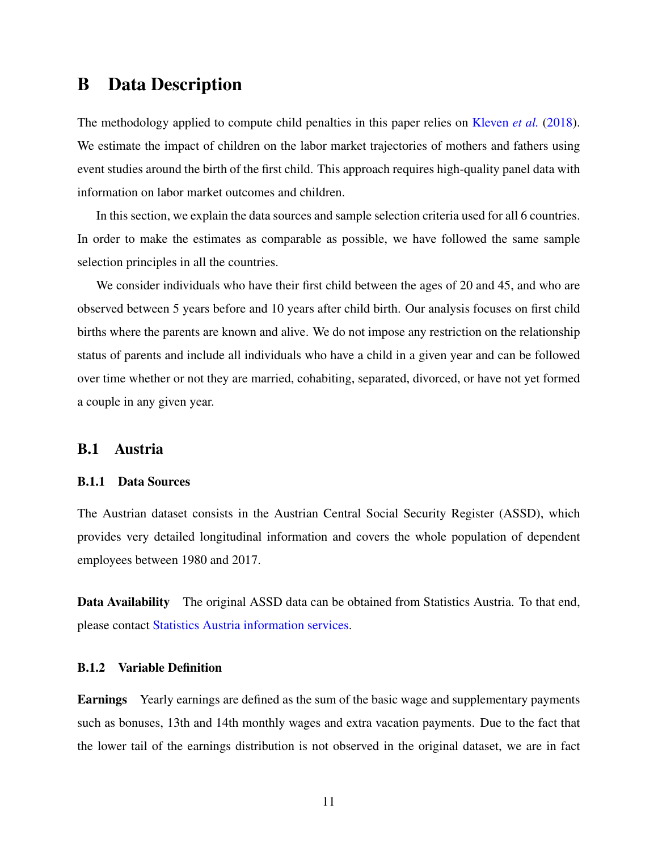# B Data Description

The methodology applied to compute child penalties in this paper relies on [Kleven](#page-8-0) *et al.* [\(2018\)](#page-8-0). We estimate the impact of children on the labor market trajectories of mothers and fathers using event studies around the birth of the first child. This approach requires high-quality panel data with information on labor market outcomes and children.

In this section, we explain the data sources and sample selection criteria used for all 6 countries. In order to make the estimates as comparable as possible, we have followed the same sample selection principles in all the countries.

We consider individuals who have their first child between the ages of 20 and 45, and who are observed between 5 years before and 10 years after child birth. Our analysis focuses on first child births where the parents are known and alive. We do not impose any restriction on the relationship status of parents and include all individuals who have a child in a given year and can be followed over time whether or not they are married, cohabiting, separated, divorced, or have not yet formed a couple in any given year.

## B.1 Austria

#### B.1.1 Data Sources

The Austrian dataset consists in the Austrian Central Social Security Register (ASSD), which provides very detailed longitudinal information and covers the whole population of dependent employees between 1980 and 2017.

Data Availability The original ASSD data can be obtained from Statistics Austria. To that end, please contact [Statistics Austria information services.](http://www.statistik.at/web_en/publications_services/statistics_austria_information_services/index.html)

#### B.1.2 Variable Definition

Earnings Yearly earnings are defined as the sum of the basic wage and supplementary payments such as bonuses, 13th and 14th monthly wages and extra vacation payments. Due to the fact that the lower tail of the earnings distribution is not observed in the original dataset, we are in fact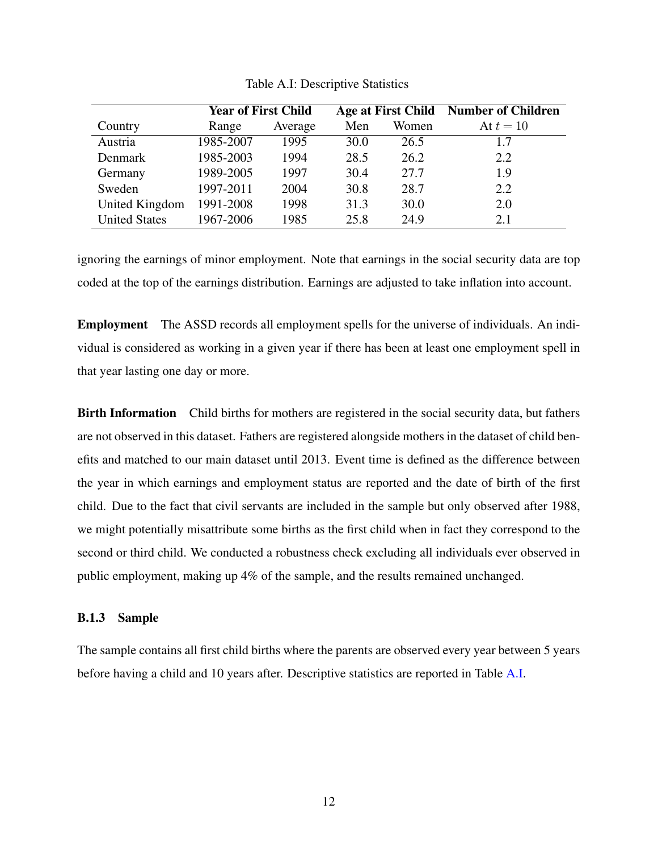<span id="page-13-0"></span>

|                      | <b>Year of First Child</b> |         | Age at First Child |       | <b>Number of Children</b> |
|----------------------|----------------------------|---------|--------------------|-------|---------------------------|
| Country              | Range                      | Average | Men                | Women | At $t=10$                 |
| Austria              | 1985-2007                  | 1995    | 30.0               | 26.5  | 1.7                       |
| Denmark              | 1985-2003                  | 1994    | 28.5               | 26.2  | 2.2                       |
| Germany              | 1989-2005                  | 1997    | 30.4               | 27.7  | 1.9                       |
| Sweden               | 1997-2011                  | 2004    | 30.8               | 28.7  | 2.2                       |
| United Kingdom       | 1991-2008                  | 1998    | 31.3               | 30.0  | 2.0                       |
| <b>United States</b> | 1967-2006                  | 1985    | 25.8               | 24.9  | 2.1                       |

Table A.I: Descriptive Statistics

ignoring the earnings of minor employment. Note that earnings in the social security data are top coded at the top of the earnings distribution. Earnings are adjusted to take inflation into account.

Employment The ASSD records all employment spells for the universe of individuals. An individual is considered as working in a given year if there has been at least one employment spell in that year lasting one day or more.

Birth Information Child births for mothers are registered in the social security data, but fathers are not observed in this dataset. Fathers are registered alongside mothers in the dataset of child benefits and matched to our main dataset until 2013. Event time is defined as the difference between the year in which earnings and employment status are reported and the date of birth of the first child. Due to the fact that civil servants are included in the sample but only observed after 1988, we might potentially misattribute some births as the first child when in fact they correspond to the second or third child. We conducted a robustness check excluding all individuals ever observed in public employment, making up 4% of the sample, and the results remained unchanged.

#### B.1.3 Sample

The sample contains all first child births where the parents are observed every year between 5 years before having a child and 10 years after. Descriptive statistics are reported in Table [A.I.](#page-13-0)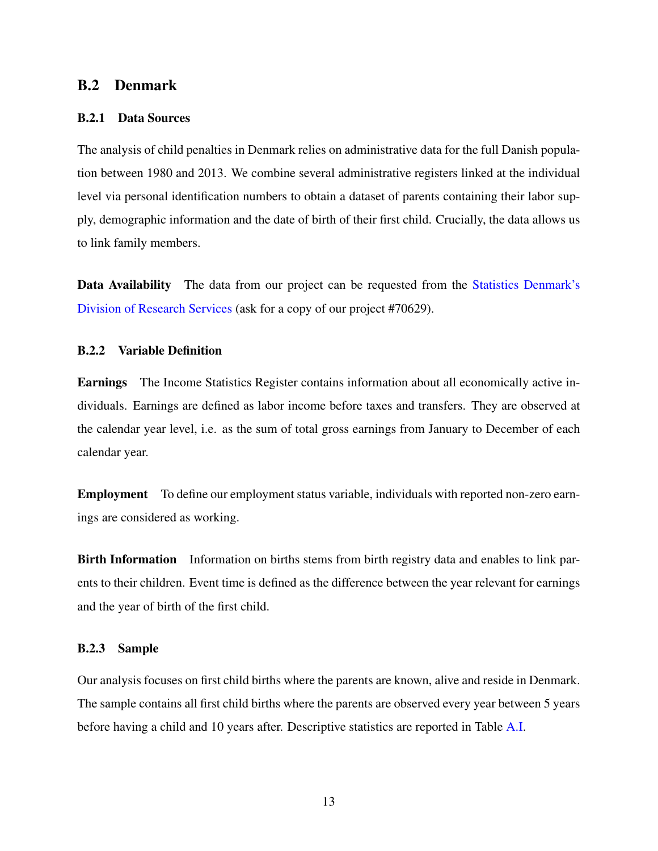## B.2 Denmark

#### B.2.1 Data Sources

The analysis of child penalties in Denmark relies on administrative data for the full Danish population between 1980 and 2013. We combine several administrative registers linked at the individual level via personal identification numbers to obtain a dataset of parents containing their labor supply, demographic information and the date of birth of their first child. Crucially, the data allows us to link family members.

Data Availability The data from our project can be requested from the [Statistics Denmark's](https://www.dst.dk/en/TilSalg/Forskningsservice) [Division of Research Services](https://www.dst.dk/en/TilSalg/Forskningsservice) (ask for a copy of our project #70629).

#### B.2.2 Variable Definition

Earnings The Income Statistics Register contains information about all economically active individuals. Earnings are defined as labor income before taxes and transfers. They are observed at the calendar year level, i.e. as the sum of total gross earnings from January to December of each calendar year.

Employment To define our employment status variable, individuals with reported non-zero earnings are considered as working.

**Birth Information** Information on births stems from birth registry data and enables to link parents to their children. Event time is defined as the difference between the year relevant for earnings and the year of birth of the first child.

#### B.2.3 Sample

Our analysis focuses on first child births where the parents are known, alive and reside in Denmark. The sample contains all first child births where the parents are observed every year between 5 years before having a child and 10 years after. Descriptive statistics are reported in Table [A.I.](#page-13-0)

13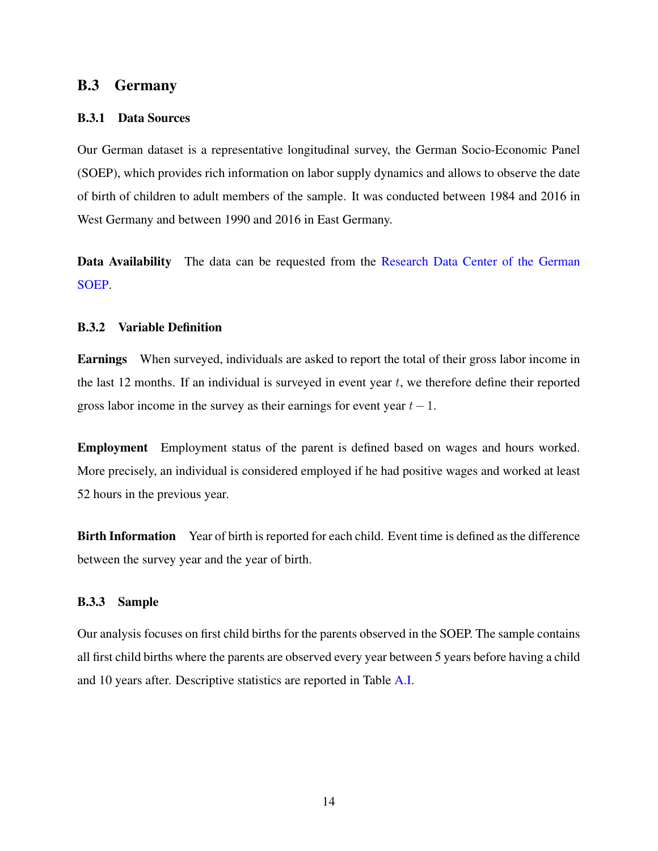## B.3 Germany

#### B.3.1 Data Sources

Our German dataset is a representative longitudinal survey, the German Socio-Economic Panel (SOEP), which provides rich information on labor supply dynamics and allows to observe the date of birth of children to adult members of the sample. It was conducted between 1984 and 2016 in West Germany and between 1990 and 2016 in East Germany.

Data Availability The data can be requested from the [Research Data Center of the German](https://www.diw.de/en/diw_02.c.221180.en/research_data_center_soep.html) [SOEP.](https://www.diw.de/en/diw_02.c.221180.en/research_data_center_soep.html)

#### B.3.2 Variable Definition

Earnings When surveyed, individuals are asked to report the total of their gross labor income in the last 12 months. If an individual is surveyed in event year  $t$ , we therefore define their reported gross labor income in the survey as their earnings for event year  $t-1$ .

Employment Employment status of the parent is defined based on wages and hours worked. More precisely, an individual is considered employed if he had positive wages and worked at least 52 hours in the previous year.

Birth Information Year of birth is reported for each child. Event time is defined as the difference between the survey year and the year of birth.

#### B.3.3 Sample

Our analysis focuses on first child births for the parents observed in the SOEP. The sample contains all first child births where the parents are observed every year between 5 years before having a child and 10 years after. Descriptive statistics are reported in Table [A.I.](#page-13-0)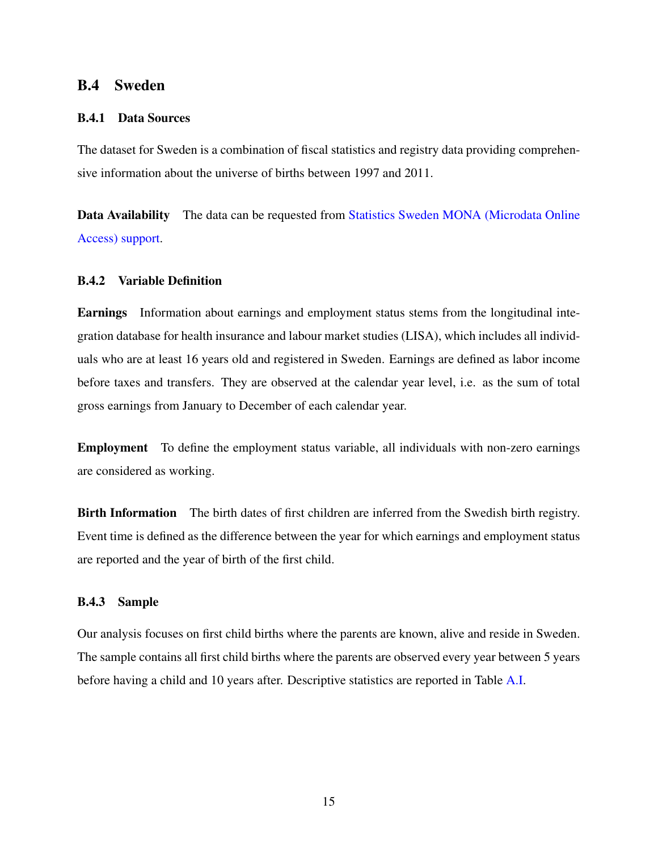# B.4 Sweden

#### B.4.1 Data Sources

The dataset for Sweden is a combination of fiscal statistics and registry data providing comprehensive information about the universe of births between 1997 and 2011.

Data Availability The data can be requested from [Statistics Sweden MONA \(Microdata Online](https://www.scb.se/en/services/guidance-for-researchers-anduniversities/ mona--a-system-for-delivering-microdata/) [Access\) support.](https://www.scb.se/en/services/guidance-for-researchers-anduniversities/ mona--a-system-for-delivering-microdata/)

## B.4.2 Variable Definition

Earnings Information about earnings and employment status stems from the longitudinal integration database for health insurance and labour market studies (LISA), which includes all individuals who are at least 16 years old and registered in Sweden. Earnings are defined as labor income before taxes and transfers. They are observed at the calendar year level, i.e. as the sum of total gross earnings from January to December of each calendar year.

Employment To define the employment status variable, all individuals with non-zero earnings are considered as working.

Birth Information The birth dates of first children are inferred from the Swedish birth registry. Event time is defined as the difference between the year for which earnings and employment status are reported and the year of birth of the first child.

#### B.4.3 Sample

Our analysis focuses on first child births where the parents are known, alive and reside in Sweden. The sample contains all first child births where the parents are observed every year between 5 years before having a child and 10 years after. Descriptive statistics are reported in Table [A.I.](#page-13-0)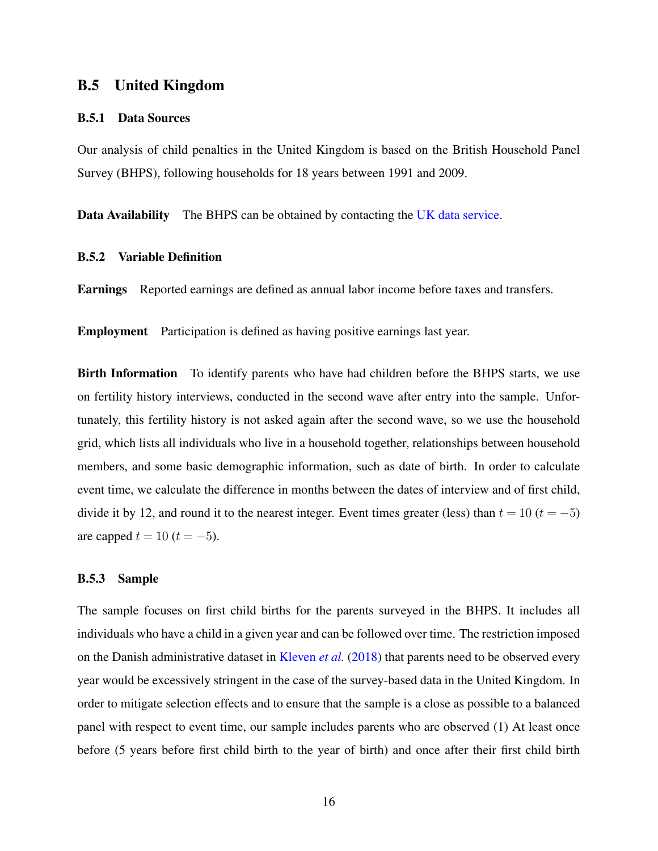# B.5 United Kingdom

#### B.5.1 Data Sources

Our analysis of child penalties in the United Kingdom is based on the British Household Panel Survey (BHPS), following households for 18 years between 1991 and 2009.

Data Availability The BHPS can be obtained by contacting the [UK data service.](https://www.iser.essex.ac.uk/bhps/acquiring-the-data)

#### B.5.2 Variable Definition

Earnings Reported earnings are defined as annual labor income before taxes and transfers.

Employment Participation is defined as having positive earnings last year.

Birth Information To identify parents who have had children before the BHPS starts, we use on fertility history interviews, conducted in the second wave after entry into the sample. Unfortunately, this fertility history is not asked again after the second wave, so we use the household grid, which lists all individuals who live in a household together, relationships between household members, and some basic demographic information, such as date of birth. In order to calculate event time, we calculate the difference in months between the dates of interview and of first child, divide it by 12, and round it to the nearest integer. Event times greater (less) than  $t = 10$  ( $t = -5$ ) are capped  $t = 10$  ( $t = -5$ ).

#### B.5.3 Sample

The sample focuses on first child births for the parents surveyed in the BHPS. It includes all individuals who have a child in a given year and can be followed over time. The restriction imposed on the Danish administrative dataset in [Kleven](#page-8-0) *et al.* [\(2018\)](#page-8-0) that parents need to be observed every year would be excessively stringent in the case of the survey-based data in the United Kingdom. In order to mitigate selection effects and to ensure that the sample is a close as possible to a balanced panel with respect to event time, our sample includes parents who are observed (1) At least once before (5 years before first child birth to the year of birth) and once after their first child birth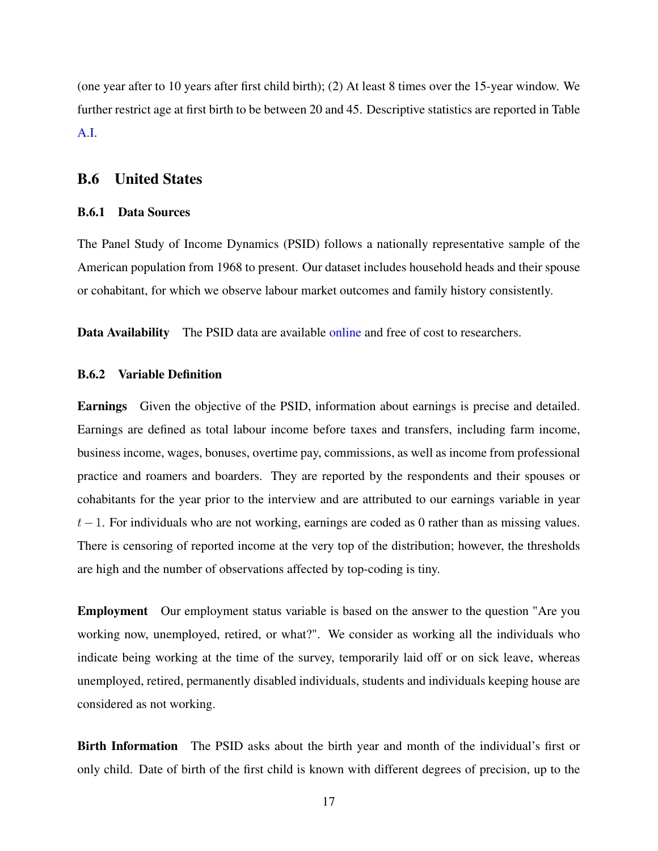(one year after to 10 years after first child birth); (2) At least 8 times over the 15-year window. We further restrict age at first birth to be between 20 and 45. Descriptive statistics are reported in Table [A.I.](#page-13-0)

## B.6 United States

#### B.6.1 Data Sources

The Panel Study of Income Dynamics (PSID) follows a nationally representative sample of the American population from 1968 to present. Our dataset includes household heads and their spouse or cohabitant, for which we observe labour market outcomes and family history consistently.

Data Availability The PSID data are available [online](https://psidonline.isr.umich.edu/) and free of cost to researchers.

#### B.6.2 Variable Definition

Earnings Given the objective of the PSID, information about earnings is precise and detailed. Earnings are defined as total labour income before taxes and transfers, including farm income, business income, wages, bonuses, overtime pay, commissions, as well as income from professional practice and roamers and boarders. They are reported by the respondents and their spouses or cohabitants for the year prior to the interview and are attributed to our earnings variable in year  $t-1$ . For individuals who are not working, earnings are coded as 0 rather than as missing values. There is censoring of reported income at the very top of the distribution; however, the thresholds are high and the number of observations affected by top-coding is tiny.

Employment Our employment status variable is based on the answer to the question "Are you working now, unemployed, retired, or what?". We consider as working all the individuals who indicate being working at the time of the survey, temporarily laid off or on sick leave, whereas unemployed, retired, permanently disabled individuals, students and individuals keeping house are considered as not working.

Birth Information The PSID asks about the birth year and month of the individual's first or only child. Date of birth of the first child is known with different degrees of precision, up to the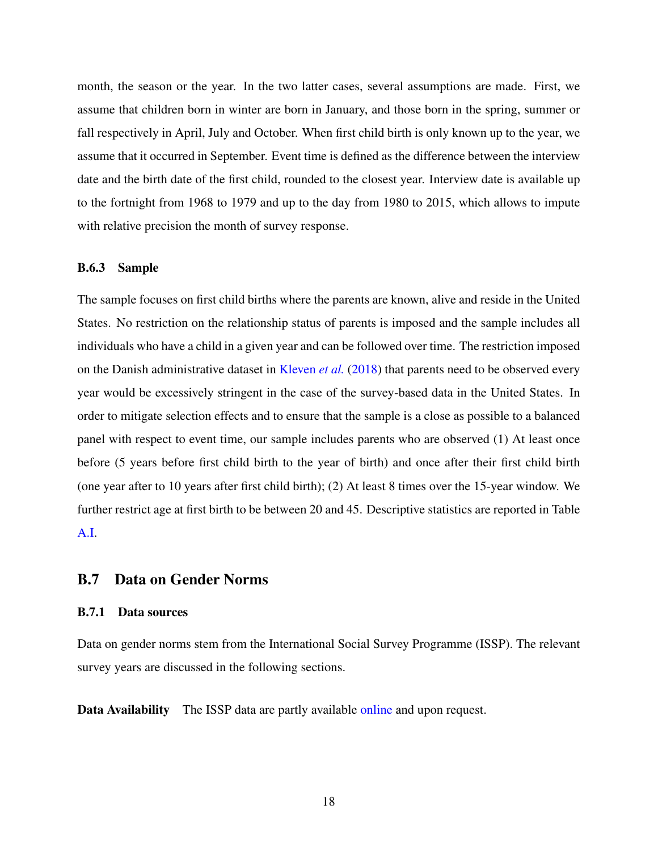month, the season or the year. In the two latter cases, several assumptions are made. First, we assume that children born in winter are born in January, and those born in the spring, summer or fall respectively in April, July and October. When first child birth is only known up to the year, we assume that it occurred in September. Event time is defined as the difference between the interview date and the birth date of the first child, rounded to the closest year. Interview date is available up to the fortnight from 1968 to 1979 and up to the day from 1980 to 2015, which allows to impute with relative precision the month of survey response.

#### B.6.3 Sample

The sample focuses on first child births where the parents are known, alive and reside in the United States. No restriction on the relationship status of parents is imposed and the sample includes all individuals who have a child in a given year and can be followed over time. The restriction imposed on the Danish administrative dataset in [Kleven](#page-8-0) *et al.* [\(2018\)](#page-8-0) that parents need to be observed every year would be excessively stringent in the case of the survey-based data in the United States. In order to mitigate selection effects and to ensure that the sample is a close as possible to a balanced panel with respect to event time, our sample includes parents who are observed (1) At least once before (5 years before first child birth to the year of birth) and once after their first child birth (one year after to 10 years after first child birth); (2) At least 8 times over the 15-year window. We further restrict age at first birth to be between 20 and 45. Descriptive statistics are reported in Table [A.I.](#page-13-0)

## B.7 Data on Gender Norms

#### B.7.1 Data sources

Data on gender norms stem from the International Social Survey Programme (ISSP). The relevant survey years are discussed in the following sections.

Data Availability The ISSP data are partly available [online](http://www.issp.org/data-download/archive/) and upon request.